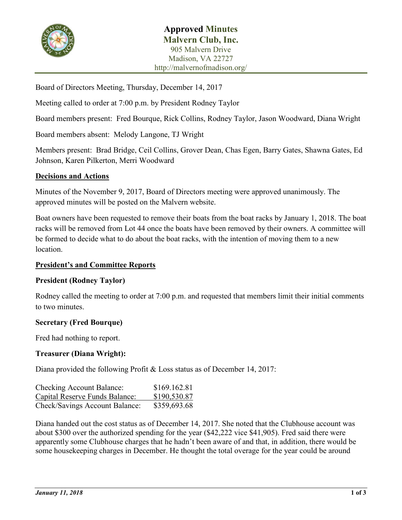

Board of Directors Meeting, Thursday, December 14, 2017

Meeting called to order at 7:00 p.m. by President Rodney Taylor

Board members present: Fred Bourque, Rick Collins, Rodney Taylor, Jason Woodward, Diana Wright

Board members absent: Melody Langone, TJ Wright

Members present: Brad Bridge, Ceil Collins, Grover Dean, Chas Egen, Barry Gates, Shawna Gates, Ed Johnson, Karen Pilkerton, Merri Woodward

### **Decisions and Actions**

Minutes of the November 9, 2017, Board of Directors meeting were approved unanimously. The approved minutes will be posted on the Malvern website.

Boat owners have been requested to remove their boats from the boat racks by January 1, 2018. The boat racks will be removed from Lot 44 once the boats have been removed by their owners. A committee will be formed to decide what to do about the boat racks, with the intention of moving them to a new location.

### **President's and Committee Reports**

### **President (Rodney Taylor)**

Rodney called the meeting to order at 7:00 p.m. and requested that members limit their initial comments to two minutes.

### **Secretary (Fred Bourque)**

Fred had nothing to report.

# **Treasurer (Diana Wright):**

Diana provided the following Profit & Loss status as of December 14, 2017:

| <b>Checking Account Balance:</b> | \$169.162.81 |
|----------------------------------|--------------|
| Capital Reserve Funds Balance:   | \$190,530.87 |
| Check/Savings Account Balance:   | \$359,693.68 |

Diana handed out the cost status as of December 14, 2017. She noted that the Clubhouse account was about \$300 over the authorized spending for the year (\$42,222 vice \$41,905). Fred said there were apparently some Clubhouse charges that he hadn't been aware of and that, in addition, there would be some housekeeping charges in December. He thought the total overage for the year could be around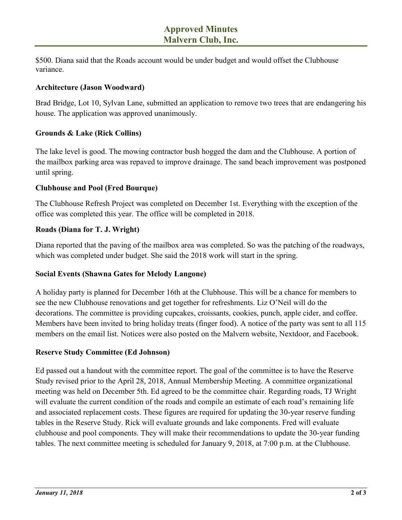\$500. Diana said that the Roads account would be under budget and would offset the Clubhouse variance.

#### **Architecture (Jason Woodward)**

Brad Bridge, Lot 10, Sylvan Lane, submitted an application to remove two trees that are endangering his house. The application was approved unanimously.

### **Grounds & Lake (Rick Collins)**

The lake level is good. The mowing contractor bush hogged the dam and the Clubhouse. A portion of the mailbox parking area was repaved to improve drainage. The sand beach improvement was postponed until spring.

### **Clubhouse and Pool (Fred Bourque)**

The Clubhouse Refresh Project was completed on December 1st. Everything with the exception of the office was completed this year. The office will be completed in 2018.

### **Roads (Diana for T. J. Wright)**

Diana reported that the paving of the mailbox area was completed. So was the patching of the roadways, which was completed under budget. She said the 2018 work will start in the spring.

### **Social Events (Shawna Gates for Melody Langone)**

A holiday party is planned for December 16th at the Clubhouse. This will be a chance for members to see the new Clubhouse renovations and get together for refreshments. Liz O'Neil will do the decorations. The committee is providing cupcakes, croissants, cookies, punch, apple cider, and coffee. Members have been invited to bring holiday treats (finger food). A notice of the party was sent to all 115 members on the email list. Notices were also posted on the Malvern website, Nextdoor, and Facebook.

#### **Reserve Study Committee (Ed Johnson)**

Ed passed out a handout with the committee report. The goal of the committee is to have the Reserve Study revised prior to the April 28, 2018, Annual Membership Meeting. A committee organizational meeting was held on December 5th. Ed agreed to be the committee chair. Regarding roads, TJ Wright will evaluate the current condition of the roads and compile an estimate of each road's remaining life and associated replacement costs. These figures are required for updating the 30-year reserve funding tables in the Reserve Study. Rick will evaluate grounds and lake components. Fred will evaluate clubhouse and pool components. They will make their recommendations to update the 30-year funding tables. The next committee meeting is scheduled for January 9, 2018, at 7:00 p.m. at the Clubhouse.